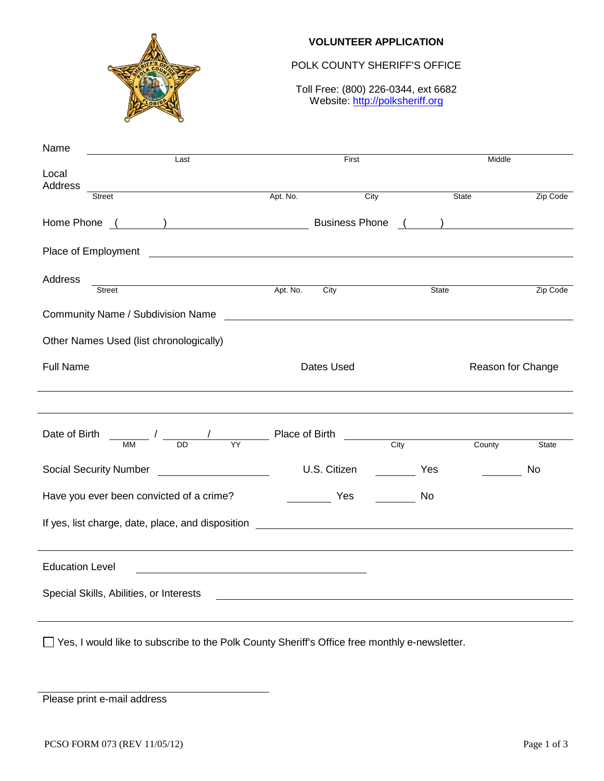

#### **VOLUNTEER APPLICATION**

## POLK COUNTY SHERIFF'S OFFICE

Toll Free: (800) 226-0344, ext 6682 Website: http://polksheriff.org

| Name                                                                                                                                                                                                                                            |            |                                                                     |       |                                           |          |  |
|-------------------------------------------------------------------------------------------------------------------------------------------------------------------------------------------------------------------------------------------------|------------|---------------------------------------------------------------------|-------|-------------------------------------------|----------|--|
| Last<br>Local                                                                                                                                                                                                                                   | First      |                                                                     |       | Middle                                    |          |  |
| Address<br><u>and the company of the company of the company of the company of the company of the company of the company of the company of the company of the company of the company of the company of the company of the company of the com</u> |            |                                                                     |       |                                           |          |  |
| <b>Street</b>                                                                                                                                                                                                                                   | Apt. No.   | City                                                                |       | State                                     | Zip Code |  |
| Home Phone<br>$\overline{\phantom{a}}$                                                                                                                                                                                                          |            | <b>Business Phone</b>                                               |       | ) and the set of $\overline{\phantom{a}}$ |          |  |
| Place of Employment<br><u> 1980 - Johann Barnett, fransk politik (d. 1980)</u>                                                                                                                                                                  |            |                                                                     |       |                                           |          |  |
| Address                                                                                                                                                                                                                                         |            |                                                                     |       |                                           |          |  |
| <u>Apt. No.</u><br>Street                                                                                                                                                                                                                       |            | City                                                                | State |                                           | Zip Code |  |
| Community Name / Subdivision Name                                                                                                                                                                                                               |            | <u> 1989 - Andrea Station Barbara, amerikan personal (h. 1989).</u> |       |                                           |          |  |
| Other Names Used (list chronologically)                                                                                                                                                                                                         |            |                                                                     |       |                                           |          |  |
| <b>Full Name</b>                                                                                                                                                                                                                                | Dates Used |                                                                     |       | Reason for Change                         |          |  |
|                                                                                                                                                                                                                                                 |            |                                                                     |       |                                           |          |  |
| $\frac{1}{\text{MM}}$ / $\frac{1}{\text{DD}}$ $\frac{1}{\text{YY}}$ Place of Birth $\frac{1}{\text{City}}$<br>Date of Birth                                                                                                                     |            |                                                                     |       | County                                    | State    |  |
| <b>Social Security Number</b>                                                                                                                                                                                                                   |            | U.S. Citizen                                                        | Yes   |                                           | No       |  |
| Have you ever been convicted of a crime?                                                                                                                                                                                                        |            | <b>Example Street Press</b>                                         | No.   |                                           |          |  |
|                                                                                                                                                                                                                                                 |            |                                                                     |       |                                           |          |  |
| <b>Education Level</b>                                                                                                                                                                                                                          |            |                                                                     |       |                                           |          |  |
| Special Skills, Abilities, or Interests                                                                                                                                                                                                         |            |                                                                     |       |                                           |          |  |
| □ Yes, I would like to subscribe to the Polk County Sheriff's Office free monthly e-newsletter.                                                                                                                                                 |            |                                                                     |       |                                           |          |  |

Please print e-mail address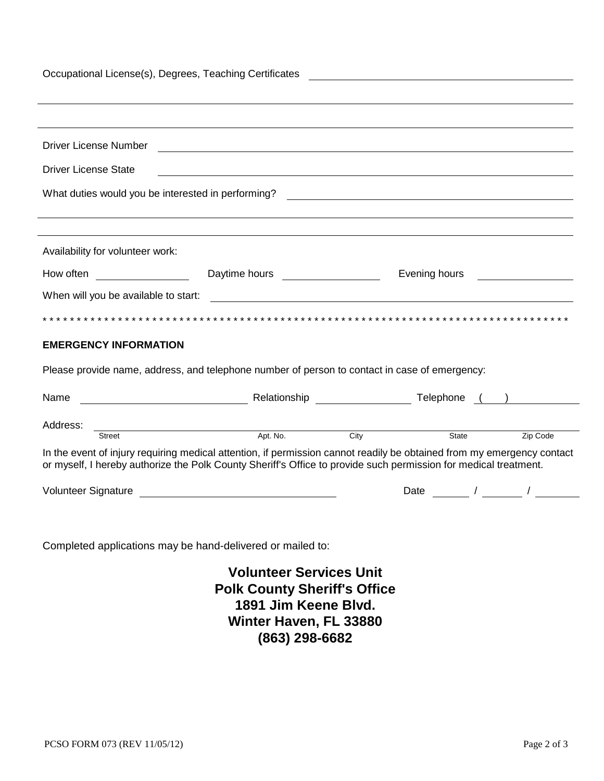| Occupational License(s), Degrees, Teaching Certificates<br><u> 1980 - Andrea Andrew Maria (h. 1980).</u><br>1901 - Andrew Maria (h. 1902).                                                                                                          |                                                                                  |  |      |                                                                                                                                                                                                                                    |  |  |
|-----------------------------------------------------------------------------------------------------------------------------------------------------------------------------------------------------------------------------------------------------|----------------------------------------------------------------------------------|--|------|------------------------------------------------------------------------------------------------------------------------------------------------------------------------------------------------------------------------------------|--|--|
|                                                                                                                                                                                                                                                     |                                                                                  |  |      |                                                                                                                                                                                                                                    |  |  |
| Driver License Number                                                                                                                                                                                                                               | <u> 1989 - Johann Barn, fransk politik (d. 1989)</u>                             |  |      |                                                                                                                                                                                                                                    |  |  |
| <b>Driver License State</b>                                                                                                                                                                                                                         | ,我们也不会有什么。""我们的人,我们也不会有什么?""我们的人,我们也不会有什么?""我们的人,我们也不会有什么?""我们的人,我们也不会有什么?""我们的人 |  |      |                                                                                                                                                                                                                                    |  |  |
|                                                                                                                                                                                                                                                     |                                                                                  |  |      |                                                                                                                                                                                                                                    |  |  |
| Availability for volunteer work:                                                                                                                                                                                                                    |                                                                                  |  |      |                                                                                                                                                                                                                                    |  |  |
| How often <b>Example 2006</b>                                                                                                                                                                                                                       | Daytime hours __________________                                                 |  |      | Evening hours <b>Example 19</b> For the set of the set of the set of the set of the set of the set of the set of the set of the set of the set of the set of the set of the set of the set of the set of the set of the set of the |  |  |
| When will you be available to start:<br><u> 1980 - Jan Samuel Barbara, margaret e populari e populari e populari e populari e populari e populari e popu</u>                                                                                        |                                                                                  |  |      |                                                                                                                                                                                                                                    |  |  |
|                                                                                                                                                                                                                                                     |                                                                                  |  |      |                                                                                                                                                                                                                                    |  |  |
| <b>EMERGENCY INFORMATION</b>                                                                                                                                                                                                                        |                                                                                  |  |      |                                                                                                                                                                                                                                    |  |  |
| Please provide name, address, and telephone number of person to contact in case of emergency:                                                                                                                                                       |                                                                                  |  |      |                                                                                                                                                                                                                                    |  |  |
| Name                                                                                                                                                                                                                                                |                                                                                  |  |      |                                                                                                                                                                                                                                    |  |  |
| Address:<br>Street                                                                                                                                                                                                                                  | <u>Apt.</u> No.                                                                  |  | City | Zip Code                                                                                                                                                                                                                           |  |  |
| State<br>In the event of injury requiring medical attention, if permission cannot readily be obtained from my emergency contact<br>or myself, I hereby authorize the Polk County Sheriff's Office to provide such permission for medical treatment. |                                                                                  |  |      |                                                                                                                                                                                                                                    |  |  |
|                                                                                                                                                                                                                                                     |                                                                                  |  | Date | $\sqrt{2}$ $\sqrt{2}$                                                                                                                                                                                                              |  |  |
|                                                                                                                                                                                                                                                     |                                                                                  |  |      |                                                                                                                                                                                                                                    |  |  |
| Completed applications may be hand-delivered or mailed to:                                                                                                                                                                                          |                                                                                  |  |      |                                                                                                                                                                                                                                    |  |  |
| <b>Volunteer Services Unit</b><br><b>Polk County Sheriff's Office</b><br>1891 Jim Keene Blvd.                                                                                                                                                       |                                                                                  |  |      |                                                                                                                                                                                                                                    |  |  |

**Winter Haven, FL 33880** 

**(863) 298-6682**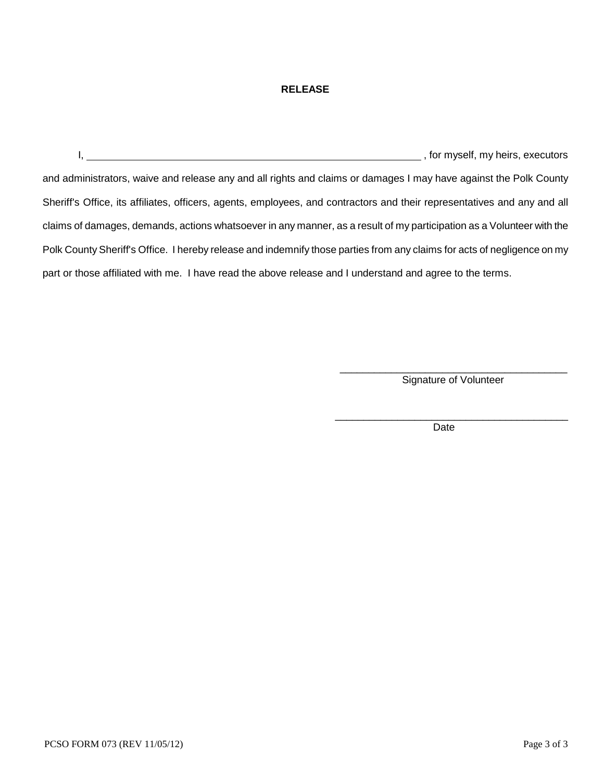#### **RELEASE**

I, the contract of the contract of the contract of the contract of the contract of the contract of the contract of the contract of the contract of the contract of the contract of the contract of the contract of the contrac and administrators, waive and release any and all rights and claims or damages I may have against the Polk County Sheriff's Office, its affiliates, officers, agents, employees, and contractors and their representatives and any and all claims of damages, demands, actions whatsoever in any manner, as a result of my participation as a Volunteer with the Polk County Sheriff's Office. I hereby release and indemnify those parties from any claims for acts of negligence on my part or those affiliated with me. I have read the above release and I understand and agree to the terms.

> \_\_\_\_\_\_\_\_\_\_\_\_\_\_\_\_\_\_\_\_\_\_\_\_\_\_\_\_\_\_\_\_\_\_\_\_\_\_\_\_ Signature of Volunteer

\_\_\_\_\_\_\_\_\_\_\_\_\_\_\_\_\_\_\_\_\_\_\_\_\_\_\_\_\_\_\_\_\_\_\_\_\_\_\_\_\_

Date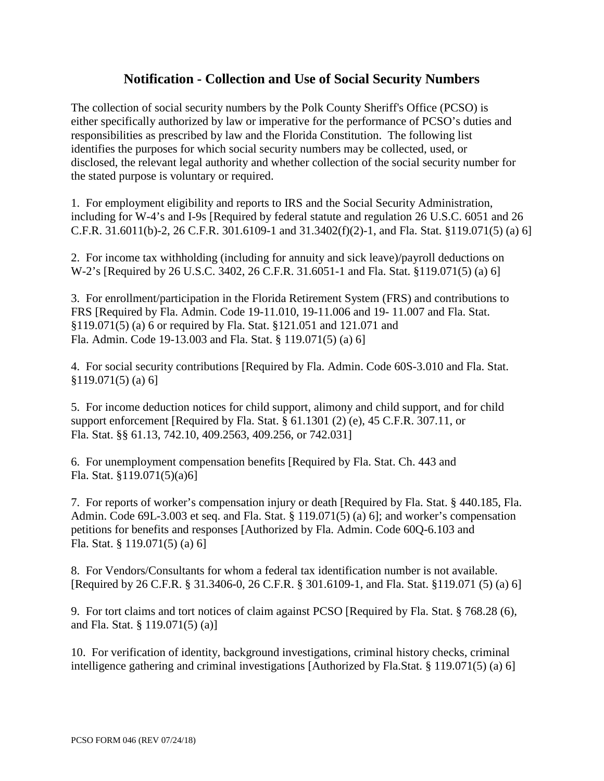# **Notification - Collection and Use of Social Security Numbers**

The collection of social security numbers by the Polk County Sheriff's Office (PCSO) is either specifically authorized by law or imperative for the performance of PCSO's duties and responsibilities as prescribed by law and the Florida Constitution. The following list identifies the purposes for which social security numbers may be collected, used, or disclosed, the relevant legal authority and whether collection of the social security number for the stated purpose is voluntary or required.

1. For employment eligibility and reports to IRS and the Social Security Administration, including for W-4's and I-9s [Required by federal statute and regulation 26 U.S.C. 6051 and 26 C.F.R. 31.6011(b)-2, 26 C.F.R. 301.6109-1 and 31.3402(f)(2)-1, and Fla. Stat. §119.071(5) (a) 6]

2. For income tax withholding (including for annuity and sick leave)/payroll deductions on W-2's [Required by 26 U.S.C. 3402, 26 C.F.R. 31.6051-1 and Fla. Stat. §119.071(5) (a) 6]

3. For enrollment/participation in the Florida Retirement System (FRS) and contributions to FRS [Required by Fla. Admin. Code 19-11.010, 19-11.006 and 19- 11.007 and Fla. Stat. §119.071(5) (a) 6 or required by Fla. Stat. §121.051 and 121.071 and Fla. Admin. Code 19-13.003 and Fla. Stat. § 119.071(5) (a) 6]

4. For social security contributions [Required by Fla. Admin. Code 60S-3.010 and Fla. Stat. §119.071(5) (a) 6]

5. For income deduction notices for child support, alimony and child support, and for child support enforcement [Required by Fla. Stat. § 61.1301 (2) (e), 45 C.F.R. 307.11, or Fla. Stat. §§ 61.13, 742.10, 409.2563, 409.256, or 742.031]

6. For unemployment compensation benefits [Required by Fla. Stat. Ch. 443 and Fla. Stat. §119.071(5)(a)6]

7. For reports of worker's compensation injury or death [Required by Fla. Stat. § 440.185, Fla. Admin. Code 69L-3.003 et seq. and Fla. Stat. § 119.071(5) (a) 6]; and worker's compensation petitions for benefits and responses [Authorized by Fla. Admin. Code 60Q-6.103 and Fla. Stat. § 119.071(5) (a) 6]

8. For Vendors/Consultants for whom a federal tax identification number is not available. [Required by 26 C.F.R. § 31.3406-0, 26 C.F.R. § 301.6109-1, and Fla. Stat. §119.071 (5) (a) 6]

9. For tort claims and tort notices of claim against PCSO [Required by Fla. Stat. § 768.28 (6), and Fla. Stat. § 119.071(5) (a)]

10. For verification of identity, background investigations, criminal history checks, criminal intelligence gathering and criminal investigations [Authorized by Fla.Stat. § 119.071(5) (a) 6]